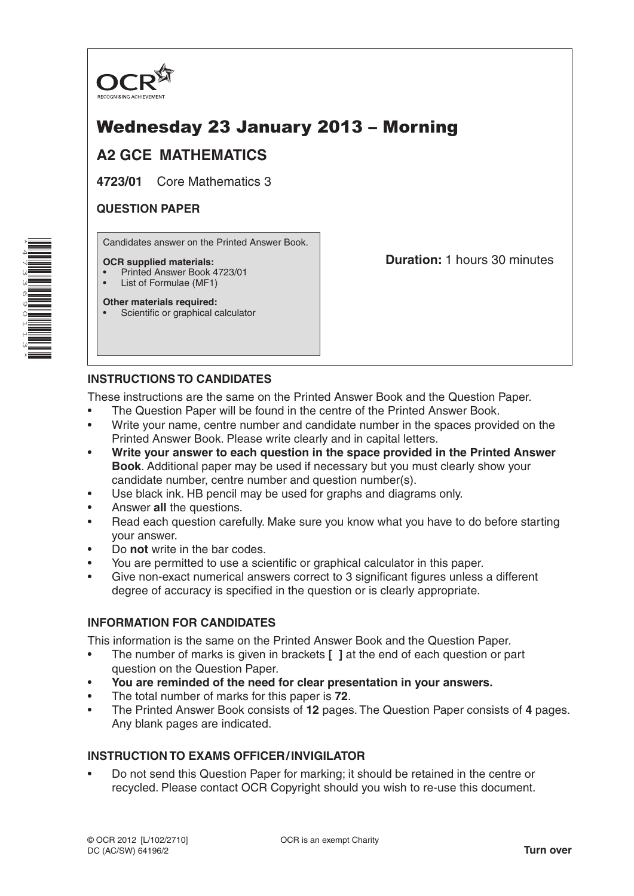

# Wednesday 23 January 2013 – Morning

## **A2 GCE MATHEMATICS**

**4723/01** Core Mathematics 3

#### **QUESTION PAPER**

Candidates answer on the Printed Answer Book.

#### **OCR supplied materials:**

- Printed Answer Book 4723/01
- List of Formulae (MF1)

**Duration:** 1 hours 30 minutes

### **Other materials required:**

• Scientific or graphical calculator

#### **INSTRUCTIONS TO CANDIDATES**

These instructions are the same on the Printed Answer Book and the Question Paper.

- The Question Paper will be found in the centre of the Printed Answer Book.
- Write your name, centre number and candidate number in the spaces provided on the Printed Answer Book. Please write clearly and in capital letters.
- **Write your answer to each question in the space provided in the Printed Answer Book**. Additional paper may be used if necessary but you must clearly show your candidate number, centre number and question number(s).
- Use black ink. HB pencil may be used for graphs and diagrams only.
- Answer **all** the questions.
- Read each question carefully. Make sure you know what you have to do before starting your answer.
- Do **not** write in the bar codes.
- You are permitted to use a scientific or graphical calculator in this paper.
- Give non-exact numerical answers correct to 3 significant figures unless a different degree of accuracy is specified in the question or is clearly appropriate.

#### **INFORMATION FOR CANDIDATES**

This information is the same on the Printed Answer Book and the Question Paper.

- The number of marks is given in brackets **[ ]** at the end of each question or part question on the Question Paper.
- **You are reminded of the need for clear presentation in your answers.**
- The total number of marks for this paper is **72**.
- The Printed Answer Book consists of **12** pages. The Question Paper consists of **4** pages. Any blank pages are indicated.

#### **INSTRUCTION TO EXAMS OFFICER/INVIGILATOR**

• Do not send this Question Paper for marking; it should be retained in the centre or recycled. Please contact OCR Copyright should you wish to re-use this document.

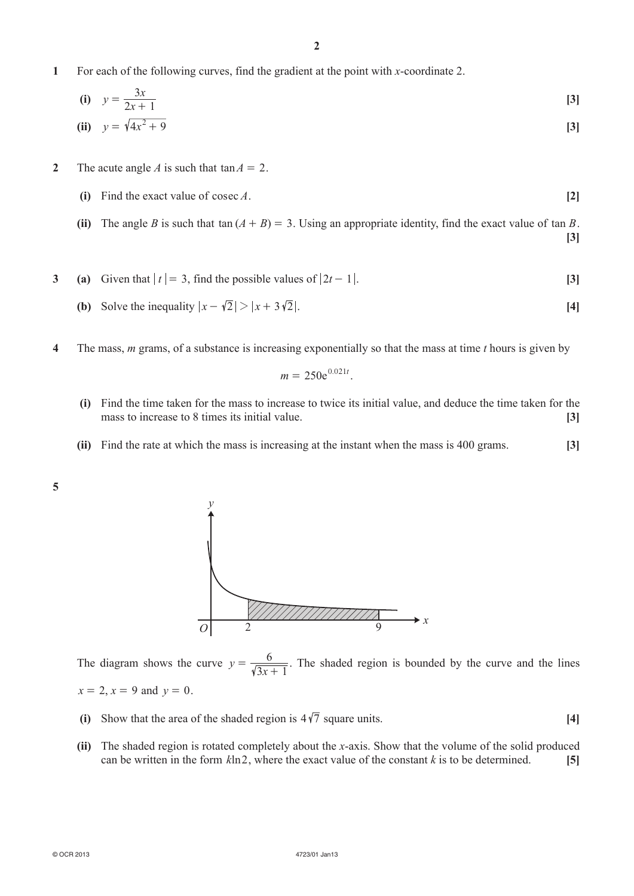**1**  For each of the following curves, find the gradient at the point with *x*-coordinate 2.

(i) 
$$
y = \frac{3x}{2x + 1}
$$
 [3]  
(ii)  $y = \sqrt{4x^2 + 9}$  [3]

- **2** The acute angle *A* is such that  $tan A = 2$ .
	- **(i)** Find the exact value of cosec *A*.  $[2]$
	- **(ii)** The angle *B* is such that tan  $(A + B) = 3$ . Using an appropriate identity, find the exact value of tan *B*. **[3]**
- **3** (a) Given that  $|t| = 3$ , find the possible values of  $|2t 1|$ . [3]
	- **(b)** Solve the inequality  $|x \sqrt{2}| > |x + 3\sqrt{2}|$ . [4]
- **4**  The mass, *m* grams, of a substance is increasing exponentially so that the mass at time *t* hours is given by

$$
m=250e^{0.021t}.
$$

- **(i)**  Find the time taken for the mass to increase to twice its initial value, and deduce the time taken for the mass to increase to 8 times its initial value. **[3]**
- **(ii)** Find the rate at which the mass is increasing at the instant when the mass is 400 grams. **[3]**
- **5**



The diagram shows the curve  $y = \frac{6}{\sqrt{3x+1}}$ . The shaded region is bounded by the curve and the lines  $x = 2, x = 9$  and  $y = 0$ .

- (i) Show that the area of the shaded region is  $4\sqrt{7}$  square units. [4]
- **(ii)** The shaded region is rotated completely about the *x*-axis. Show that the volume of the solid produced can be written in the form  $k \ln 2$ , where the exact value of the constant  $k$  is to be determined. [5]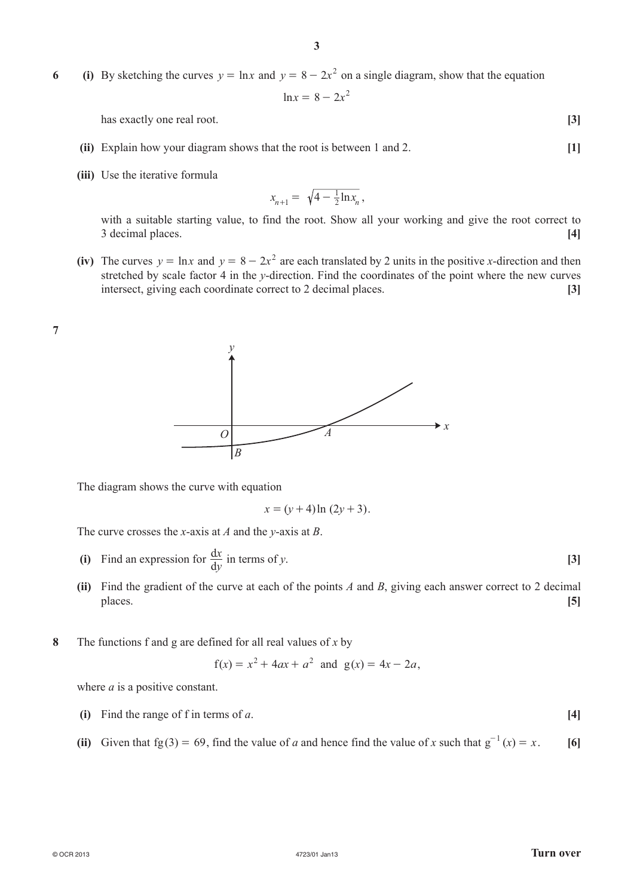**6 (i)** By sketching the curves  $y = \ln x$  and  $y = 8 - 2x^2$  on a single diagram, show that the equation

$$
\ln x = 8 - 2x^2
$$

has exactly one real root. **[3]** 

- **(ii)** Explain how your diagram shows that the root is between 1 and 2. **[1]**
- **(iii)** Use the iterative formula

$$
x_{n+1} = \sqrt{4 - \frac{1}{2} \ln x_n} \,,
$$

with a suitable starting value, to find the root. Show all your working and give the root correct to 3 decimal places. **[4]**

**(iv)** The curves  $y = \ln x$  and  $y = 8 - 2x^2$  are each translated by 2 units in the positive *x*-direction and then stretched by scale factor 4 in the *y*-direction. Find the coordinates of the point where the new curves intersect, giving each coordinate correct to 2 decimal places. **[3]**





The diagram shows the curve with equation

$$
x = (y+4)\ln(2y+3).
$$

The curve crosses the *x*-axis at *A* and the *y*-axis at *B*.

- **(i)** Find an expression for  $\frac{dx}{dy}$  $\frac{dx}{dy}$  in terms of *y*. [3]
	- **(ii)** Find the gradient of the curve at each of the points *A* and *B*, giving each answer correct to 2 decimal places. **[5]**
- **8**  The functions f and g are defined for all real values of *x* by

$$
f(x) = x2 + 4ax + a2
$$
 and  $g(x) = 4x - 2a$ ,

where *a* is a positive constant.

- **(i)** Find the range of f in terms of *a*.  $[4]$
- **(ii)** Given that fg(3) = 69, find the value of *a* and hence find the value of *x* such that  $g^{-1}(x) = x$ . [6]